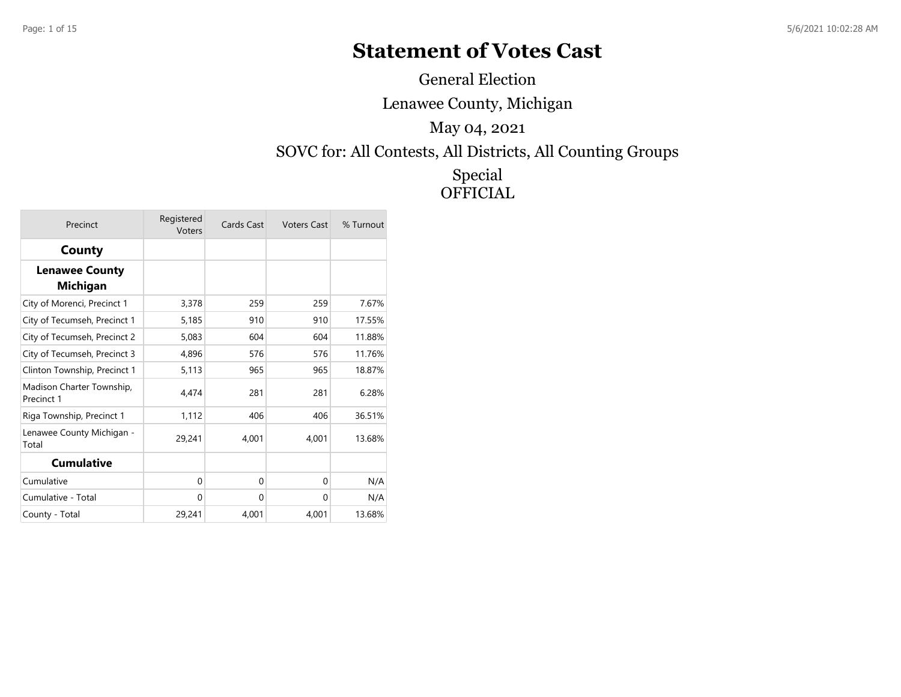## **Statement of Votes Cast**

General Election

Lenawee County, Michigan

May 04, 2021

SOVC for: All Contests, All Districts, All Counting Groups

Special **OFFICIAL** 

| Precinct                                 | Registered<br>Voters | Cards Cast | <b>Voters Cast</b> | % Turnout |
|------------------------------------------|----------------------|------------|--------------------|-----------|
| County                                   |                      |            |                    |           |
| <b>Lenawee County</b><br><b>Michigan</b> |                      |            |                    |           |
| City of Morenci, Precinct 1              | 3,378                | 259        | 259                | 7.67%     |
| City of Tecumseh, Precinct 1             | 5,185                | 910        | 910                | 17.55%    |
| City of Tecumseh, Precinct 2             | 5,083                | 604        | 604                | 11.88%    |
| City of Tecumseh, Precinct 3             | 4,896                | 576        | 576                | 11.76%    |
| Clinton Township, Precinct 1             | 5,113                | 965        | 965                | 18.87%    |
| Madison Charter Township,<br>Precinct 1  | 4,474                | 281        | 281                | 6.28%     |
| Riga Township, Precinct 1                | 1,112                | 406        | 406                | 36.51%    |
| Lenawee County Michigan -<br>Total       | 29,241               | 4,001      | 4,001              | 13.68%    |
| <b>Cumulative</b>                        |                      |            |                    |           |
| Cumulative                               | $\Omega$             | $\Omega$   | 0                  | N/A       |
| Cumulative - Total                       | 0                    | $\Omega$   | 0                  | N/A       |
| County - Total                           | 29,241               | 4,001      | 4,001              | 13.68%    |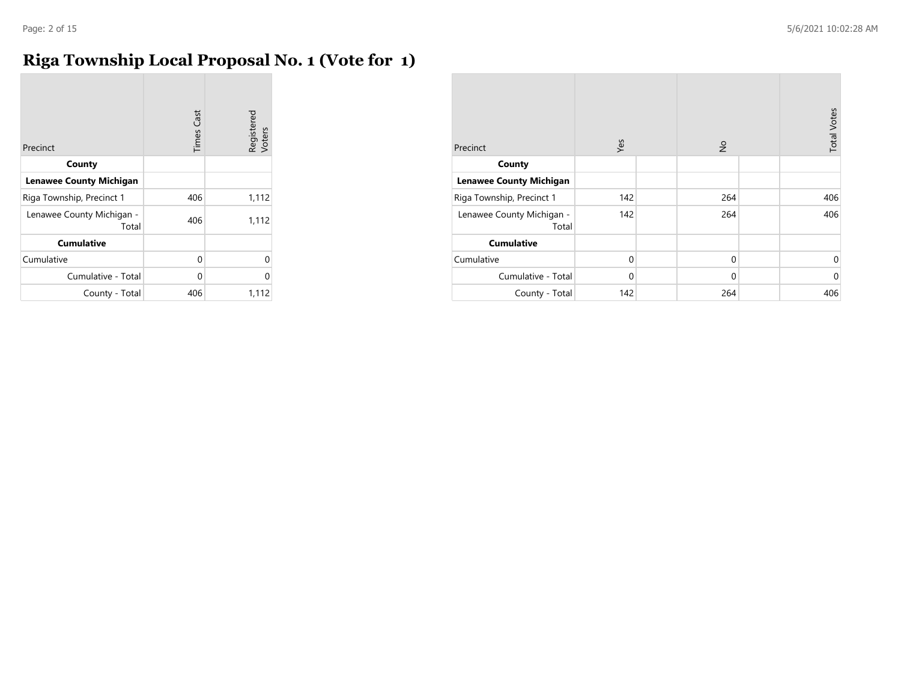## **Riga Township Local Proposal No. 1 (Vote for 1)**

| Precinct                           | <b>Times Cast</b> | Registered<br>Voters |
|------------------------------------|-------------------|----------------------|
| County                             |                   |                      |
| <b>Lenawee County Michigan</b>     |                   |                      |
| Riga Township, Precinct 1          | 406               | 1,112                |
| Lenawee County Michigan -<br>Total | 406               | 1,112                |
| <b>Cumulative</b>                  |                   |                      |
| Cumulative                         | 0                 | U                    |
| Cumulative - Total                 | 0                 | 0                    |
| County - Total                     | 406               | 1,112                |

| Precinct                           | Yes         | $\frac{1}{2}$ | <b>Total Votes</b> |
|------------------------------------|-------------|---------------|--------------------|
| County                             |             |               |                    |
| <b>Lenawee County Michigan</b>     |             |               |                    |
| Riga Township, Precinct 1          | 142         | 264           | 406                |
| Lenawee County Michigan -<br>Total | 142         | 264           | 406                |
| <b>Cumulative</b>                  |             |               |                    |
| Cumulative                         | $\mathbf 0$ | $\mathbf 0$   | 0                  |
| Cumulative - Total                 | $\Omega$    | $\mathbf 0$   | $\mathbf 0$        |
| County - Total                     | 142         | 264           | 406                |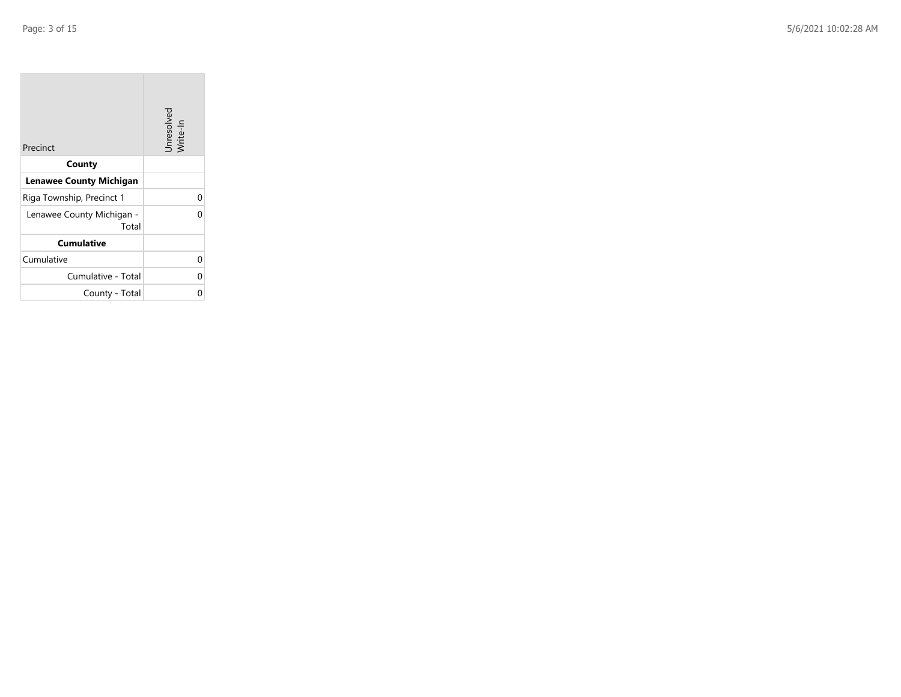| Precinct                           | Unresolved<br>Write-In |
|------------------------------------|------------------------|
| County                             |                        |
| <b>Lenawee County Michigan</b>     |                        |
| Riga Township, Precinct 1          | 0                      |
| Lenawee County Michigan -<br>Total | በ                      |
| <b>Cumulative</b>                  |                        |
| Cumulative                         | 0                      |
| Cumulative - Total                 | 0                      |
| County - Total                     | 0                      |

the property of the control of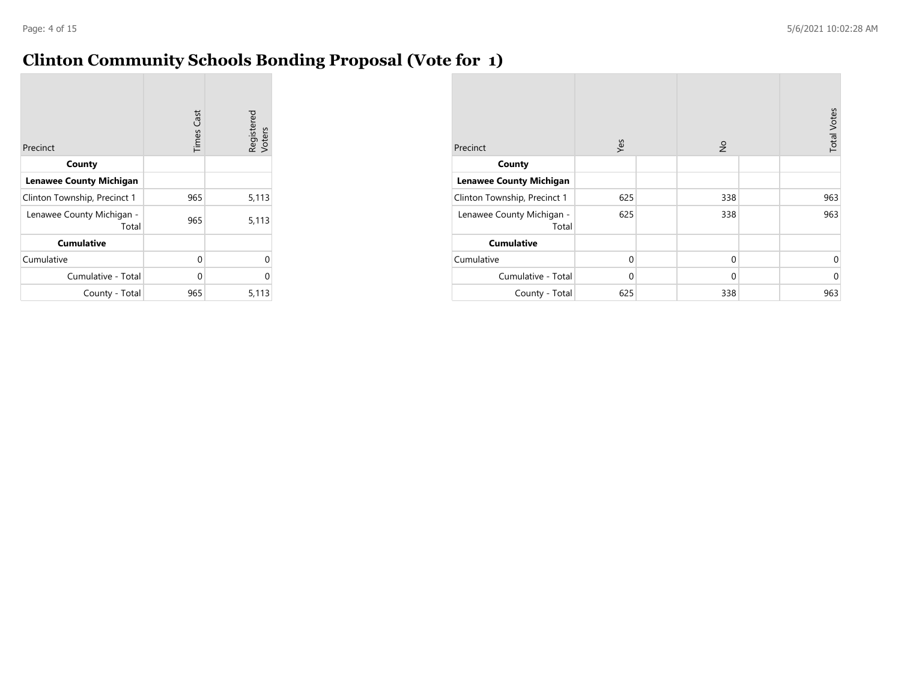## **Clinton Community Schools Bonding Proposal (Vote for 1)**

| Precinct                           | <b>Times Cast</b> | Registered<br>Voters |
|------------------------------------|-------------------|----------------------|
| County                             |                   |                      |
| <b>Lenawee County Michigan</b>     |                   |                      |
| Clinton Township, Precinct 1       | 965               | 5,113                |
| Lenawee County Michigan -<br>Total | 965               | 5,113                |
| <b>Cumulative</b>                  |                   |                      |
| Cumulative                         | 0                 | 0                    |
| Cumulative - Total                 | 0                 | 0                    |
| County - Total                     | 965               | 5,113                |

| Precinct                           | Yes         | $\frac{1}{2}$ | <b>Total Votes</b> |
|------------------------------------|-------------|---------------|--------------------|
| County                             |             |               |                    |
| <b>Lenawee County Michigan</b>     |             |               |                    |
| Clinton Township, Precinct 1       | 625         | 338           | 963                |
| Lenawee County Michigan -<br>Total | 625         | 338           | 963                |
| <b>Cumulative</b>                  |             |               |                    |
| Cumulative                         | $\mathbf 0$ | 0             | 0                  |
| Cumulative - Total                 | $\Omega$    | $\mathbf 0$   | $\mathbf 0$        |
| County - Total                     | 625         | 338           | 963                |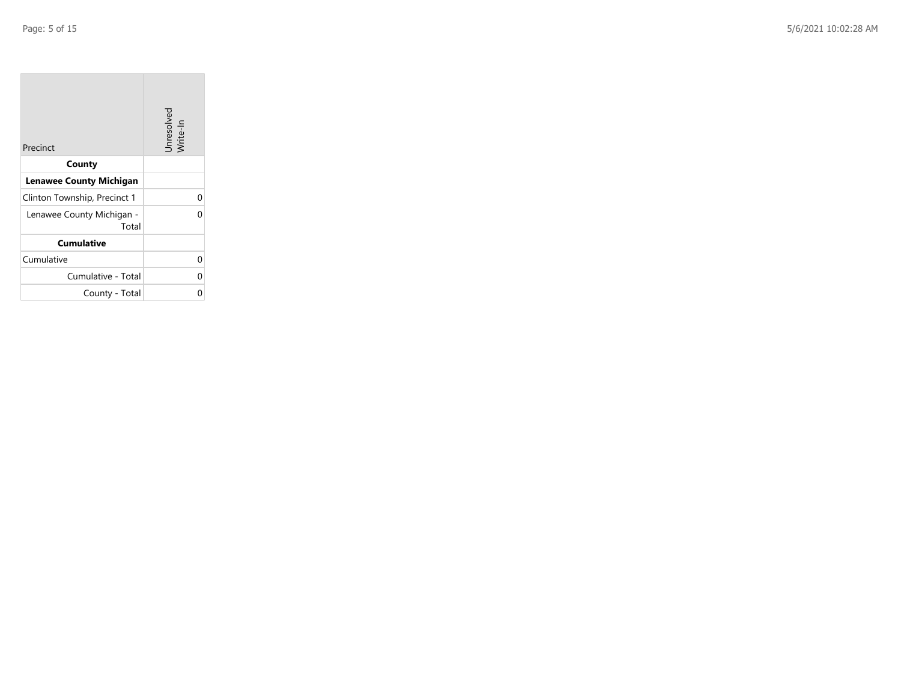| Precinct                           | Unresolved<br>Write-In |
|------------------------------------|------------------------|
| County                             |                        |
| <b>Lenawee County Michigan</b>     |                        |
| Clinton Township, Precinct 1       | 0                      |
| Lenawee County Michigan -<br>Total | በ                      |
| <b>Cumulative</b>                  |                        |
| Cumulative                         | 0                      |
| Cumulative - Total                 | 0                      |
| County - Total                     | 0                      |

the property of the control of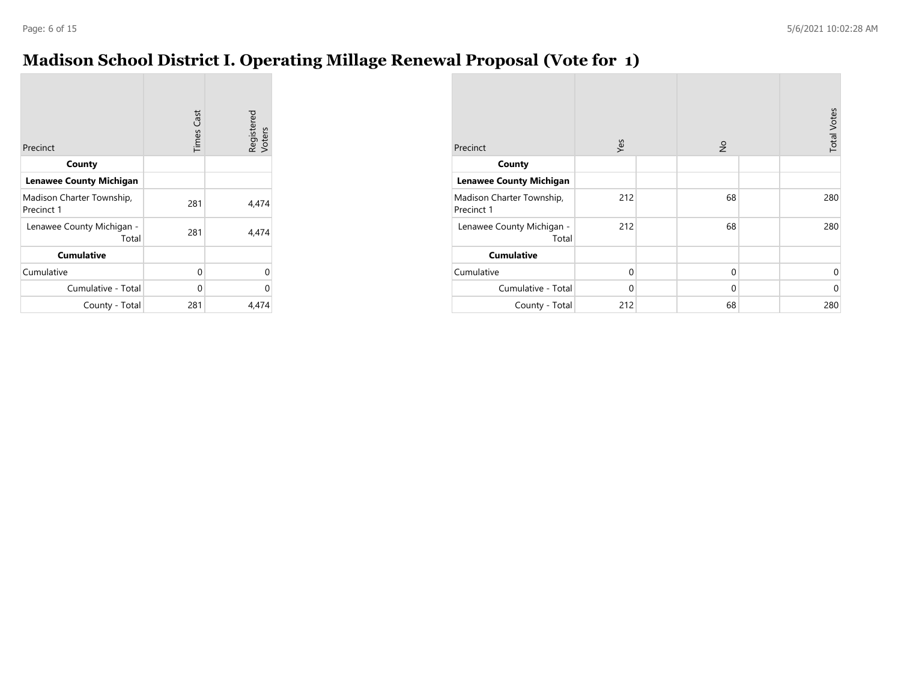## **Madison School District I. Operating Millage Renewal Proposal (Vote for 1)**

| Precinct                                | <b>Times Cast</b> | Registered<br>Voters |
|-----------------------------------------|-------------------|----------------------|
| County                                  |                   |                      |
| <b>Lenawee County Michigan</b>          |                   |                      |
| Madison Charter Township,<br>Precinct 1 | 281               | 4,474                |
| Lenawee County Michigan -<br>Total      | 281               | 4,474                |
| <b>Cumulative</b>                       |                   |                      |
| Cumulative                              | 0                 | 0                    |
| Cumulative - Total                      | 0                 | 0                    |
| County - Total                          | 281               | 4,474                |

| Precinct                                | Yes         | $\frac{1}{2}$ | <b>Total Votes</b> |
|-----------------------------------------|-------------|---------------|--------------------|
| County                                  |             |               |                    |
| <b>Lenawee County Michigan</b>          |             |               |                    |
| Madison Charter Township,<br>Precinct 1 | 212         | 68            | 280                |
| Lenawee County Michigan -<br>Total      | 212         | 68            | 280                |
| <b>Cumulative</b>                       |             |               |                    |
| Cumulative                              | $\mathbf 0$ | $\mathbf 0$   | 0                  |
| Cumulative - Total                      | $\mathbf 0$ | $\mathbf 0$   | $\mathbf 0$        |
| County - Total                          | 212         | 68            | 280                |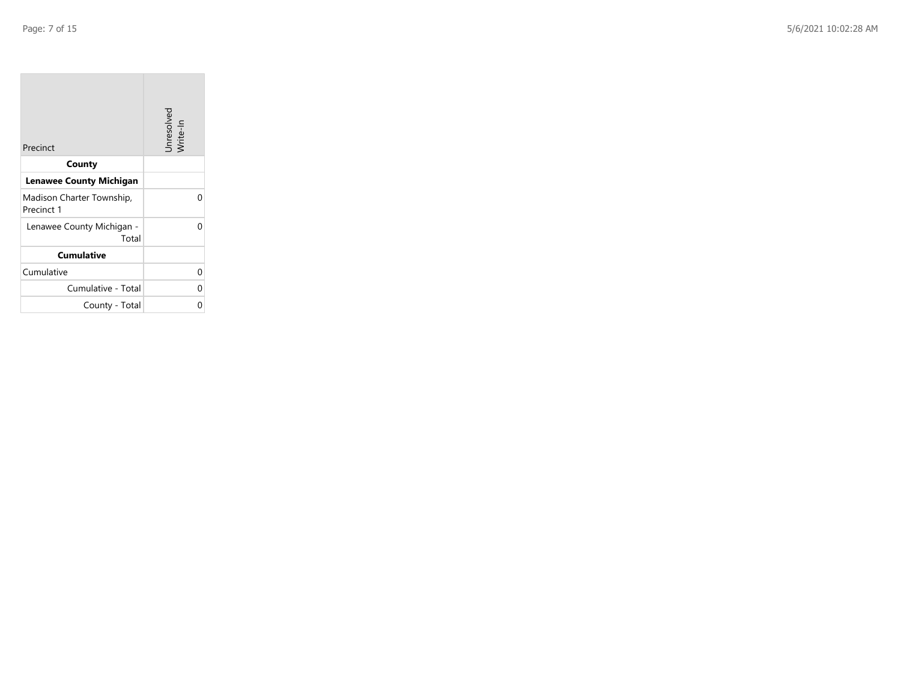**The State** 

| Precinct                                | Unresolved<br>Write-In |
|-----------------------------------------|------------------------|
| County                                  |                        |
| <b>Lenawee County Michigan</b>          |                        |
| Madison Charter Township,<br>Precinct 1 | U                      |
| Lenawee County Michigan -<br>Total      | n                      |
| <b>Cumulative</b>                       |                        |
| Cumulative                              | 0                      |
| Cumulative - Total                      | N                      |
| County - Total                          | 0                      |

the control of the control of the control of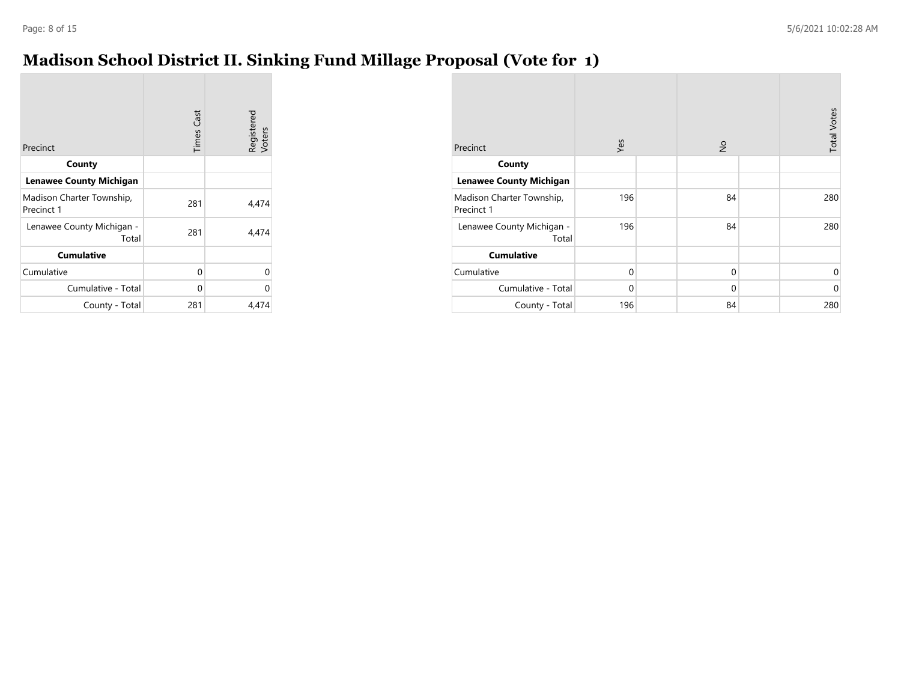# **Madison School District II. Sinking Fund Millage Proposal (Vote for 1)**

| Precinct                                | <b>Times Cast</b> | Registered<br>Voters |
|-----------------------------------------|-------------------|----------------------|
| County                                  |                   |                      |
| <b>Lenawee County Michigan</b>          |                   |                      |
| Madison Charter Township,<br>Precinct 1 | 281               | 4,474                |
| Lenawee County Michigan -<br>Total      | 281               | 4,474                |
| <b>Cumulative</b>                       |                   |                      |
| Cumulative                              | 0                 | 0                    |
| Cumulative - Total                      | $\Omega$          | 0                    |
| County - Total                          | 281               | 4,474                |

| Precinct                                | Yes         | $\frac{1}{2}$ | <b>Total Votes</b> |
|-----------------------------------------|-------------|---------------|--------------------|
| County                                  |             |               |                    |
| <b>Lenawee County Michigan</b>          |             |               |                    |
| Madison Charter Township,<br>Precinct 1 | 196         | 84            | 280                |
| Lenawee County Michigan -<br>Total      | 196         | 84            | 280                |
| <b>Cumulative</b>                       |             |               |                    |
| Cumulative                              | $\mathbf 0$ | $\mathbf 0$   | 0                  |
| Cumulative - Total                      | $\mathbf 0$ | $\mathbf 0$   | $\mathbf 0$        |
| County - Total                          | 196         | 84            | 280                |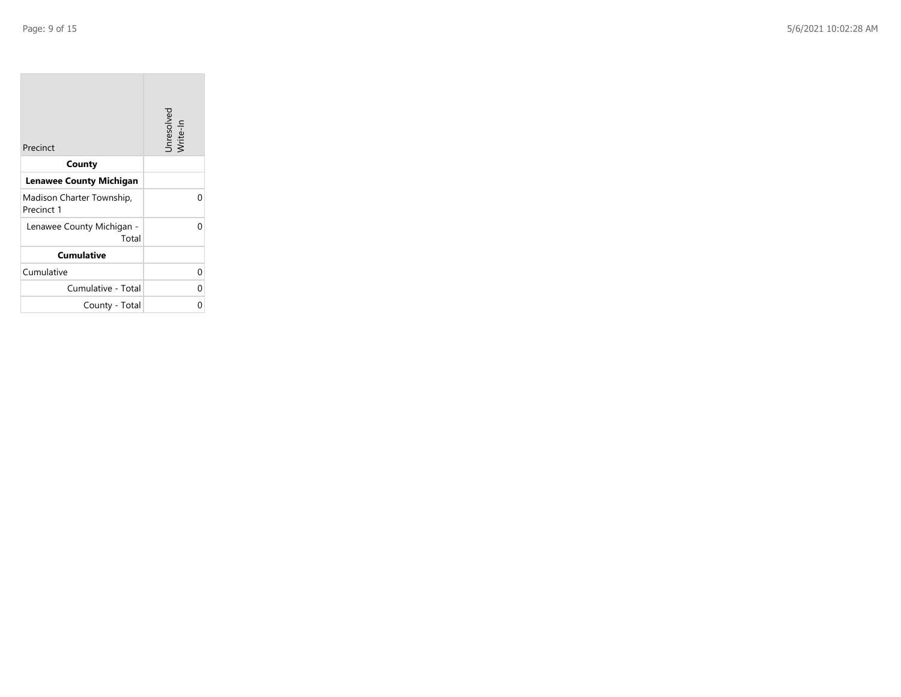| Precinct                                | Unresolved<br>Write-In |
|-----------------------------------------|------------------------|
| County                                  |                        |
| Lenawee County Michigan                 |                        |
| Madison Charter Township,<br>Precinct 1 | ი                      |
| Lenawee County Michigan -<br>Total      | n                      |
| <b>Cumulative</b>                       |                        |
| Cumulative                              | 0                      |
| Cumulative - Total                      | N                      |
| County - Total                          | 0                      |

the control of the control of the control of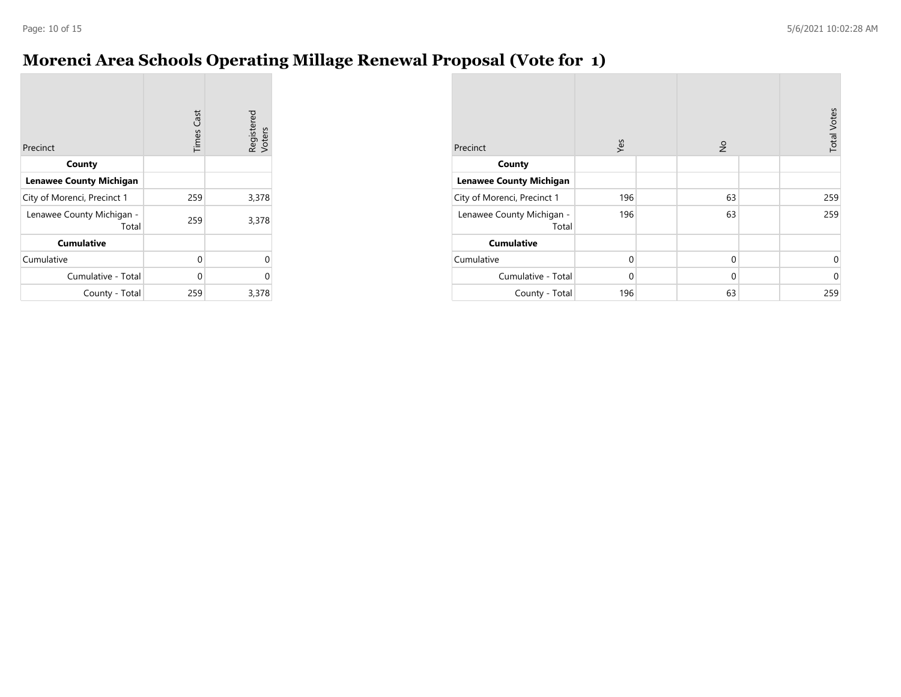## **Morenci Area Schools Operating Millage Renewal Proposal (Vote for 1)**

| Precinct                           | <b>Times Cast</b> | Registered<br>Voters |
|------------------------------------|-------------------|----------------------|
| County                             |                   |                      |
| <b>Lenawee County Michigan</b>     |                   |                      |
| City of Morenci, Precinct 1        | 259               | 3,378                |
| Lenawee County Michigan -<br>Total | 259               | 3,378                |
| <b>Cumulative</b>                  |                   |                      |
| Cumulative                         | 0                 | 0                    |
| Cumulative - Total                 | 0                 | 0                    |
| County - Total                     | 259               | 3,378                |

| Precinct                           | Yes      | $\frac{1}{2}$ | <b>Total Votes</b> |
|------------------------------------|----------|---------------|--------------------|
| County                             |          |               |                    |
| <b>Lenawee County Michigan</b>     |          |               |                    |
| City of Morenci, Precinct 1        | 196      | 63            | 259                |
| Lenawee County Michigan -<br>Total | 196      | 63            | 259                |
| <b>Cumulative</b>                  |          |               |                    |
| Cumulative                         | 0        | 0             | 0                  |
| Cumulative - Total                 | $\Omega$ | 0             | $\mathbf 0$        |
| County - Total                     | 196      | 63            | 259                |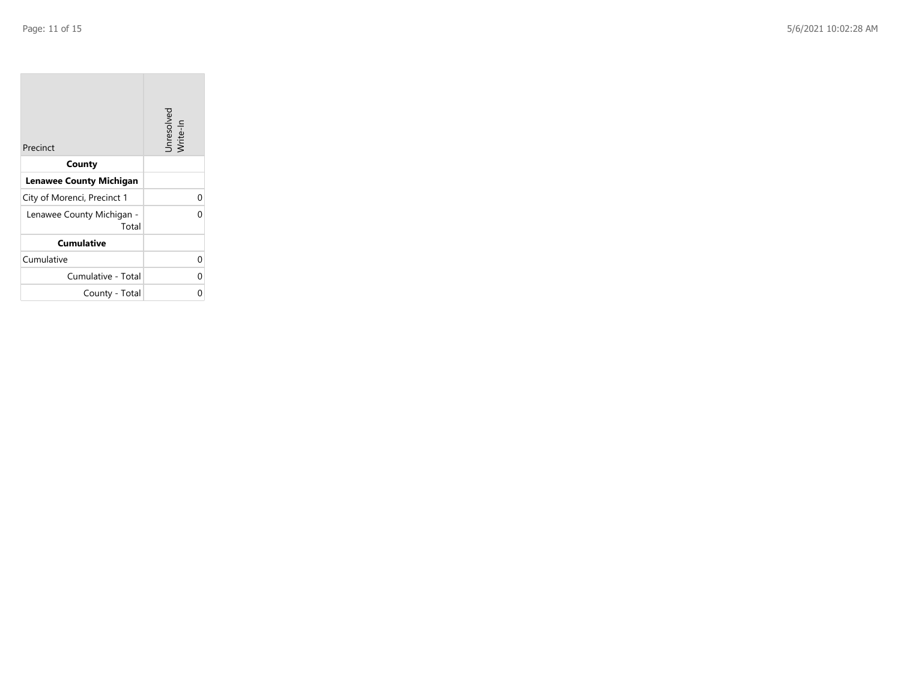| Precinct                           | Unresolved<br>Write-In |
|------------------------------------|------------------------|
| County                             |                        |
| <b>Lenawee County Michigan</b>     |                        |
| City of Morenci, Precinct 1        |                        |
| Lenawee County Michigan -<br>Total |                        |
| <b>Cumulative</b>                  |                        |
| Cumulative                         | U                      |
| Cumulative - Total                 |                        |
| County - Total                     |                        |

the control of the control of the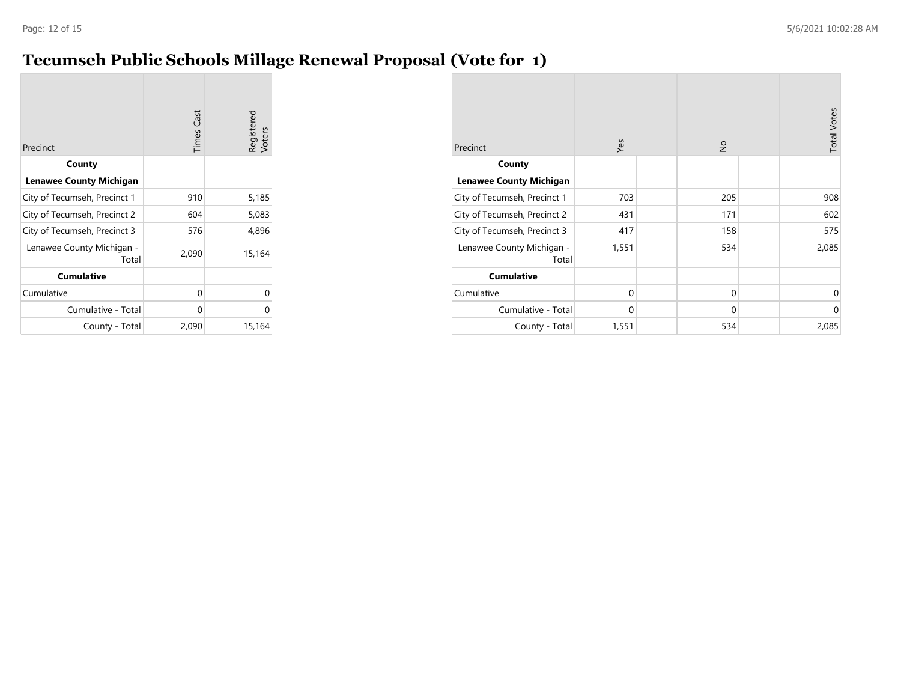## **Tecumseh Public Schools Millage Renewal Proposal (Vote for 1)**

| Precinct                           | <b>Times Cast</b> | Registered<br>Voters |
|------------------------------------|-------------------|----------------------|
| County                             |                   |                      |
| <b>Lenawee County Michigan</b>     |                   |                      |
| City of Tecumseh, Precinct 1       | 910               | 5,185                |
| City of Tecumseh, Precinct 2       | 604               | 5,083                |
| City of Tecumseh, Precinct 3       | 576               | 4,896                |
| Lenawee County Michigan -<br>Total | 2,090             | 15,164               |
| <b>Cumulative</b>                  |                   |                      |
| Cumulative                         | 0                 | 0                    |
| Cumulative - Total                 | 0                 | 0                    |
| County - Total                     | 2,090             | 15,164               |

| Precinct                           | Yes      | $\frac{1}{2}$ | <b>Total Votes</b> |
|------------------------------------|----------|---------------|--------------------|
| County                             |          |               |                    |
| <b>Lenawee County Michigan</b>     |          |               |                    |
| City of Tecumseh, Precinct 1       | 703      | 205           | 908                |
| City of Tecumseh, Precinct 2       | 431      | 171           | 602                |
| City of Tecumseh, Precinct 3       | 417      | 158           | 575                |
| Lenawee County Michigan -<br>Total | 1,551    | 534           | 2,085              |
| <b>Cumulative</b>                  |          |               |                    |
| Cumulative                         | $\Omega$ | $\mathbf 0$   | $\Omega$           |
| Cumulative - Total                 | $\Omega$ | $\mathbf 0$   | $\Omega$           |
| County - Total                     | 1,551    | 534           | 2,085              |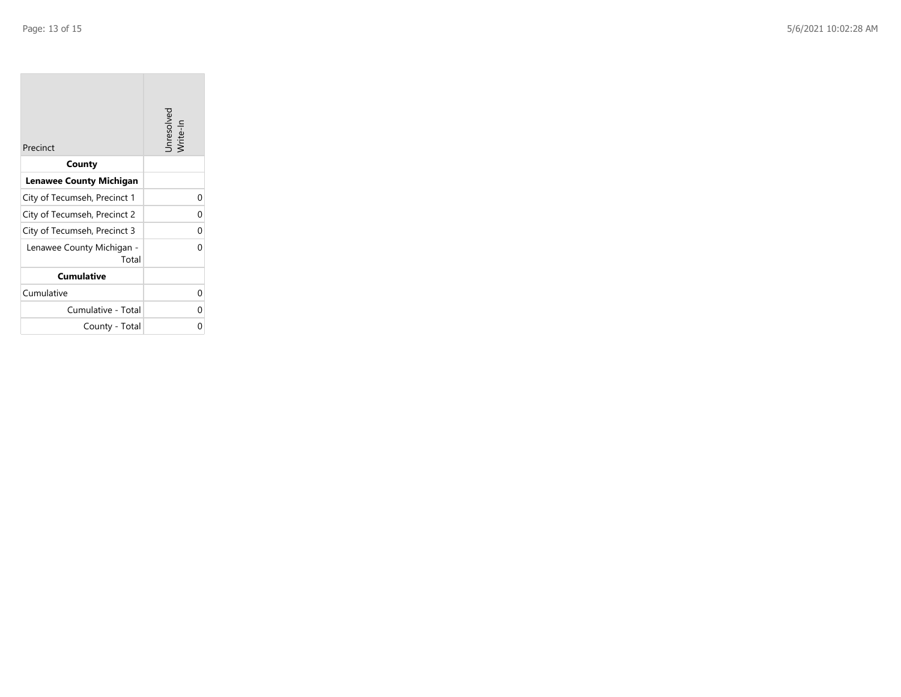| Precinct                           | Unresolved<br>Write-In |
|------------------------------------|------------------------|
| County                             |                        |
| <b>Lenawee County Michigan</b>     |                        |
| City of Tecumseh, Precinct 1       | 0                      |
| City of Tecumseh, Precinct 2       | 0                      |
| City of Tecumseh, Precinct 3       | 0                      |
| Lenawee County Michigan -<br>Total | U                      |
| <b>Cumulative</b>                  |                        |
| Cumulative                         | 0                      |
| Cumulative - Total                 | 0                      |
| County - Total                     | U                      |

the control of the control of the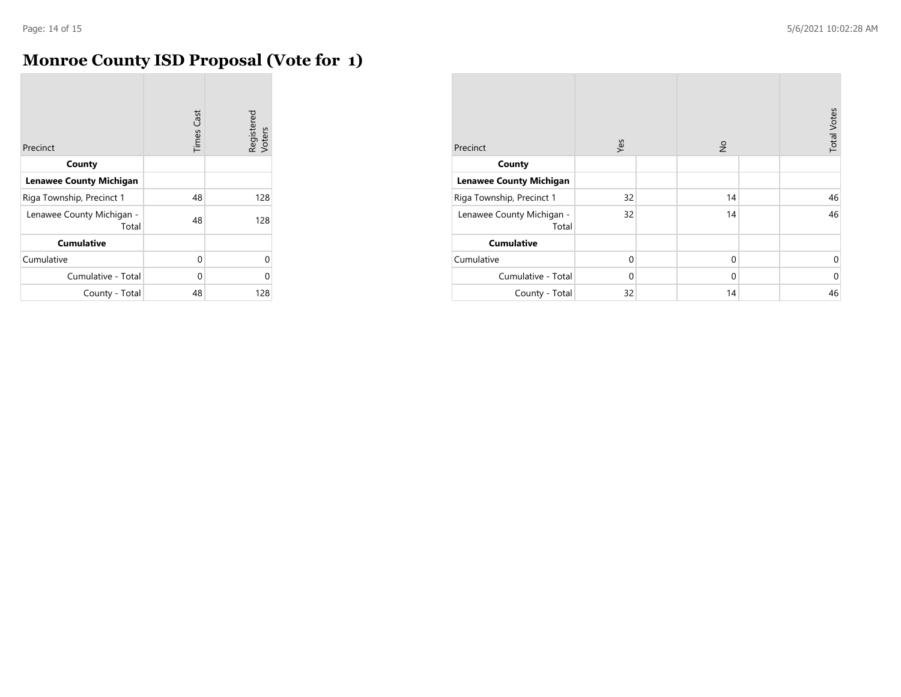## **Monroe County ISD Proposal (Vote for 1)**

| Precinct                           | <b>Times Cast</b> | Registered<br>Voters |
|------------------------------------|-------------------|----------------------|
| County                             |                   |                      |
| <b>Lenawee County Michigan</b>     |                   |                      |
| Riga Township, Precinct 1          | 48                | 128                  |
| Lenawee County Michigan -<br>Total | 48                | 128                  |
| <b>Cumulative</b>                  |                   |                      |
| Cumulative                         | 0                 | U                    |
| Cumulative - Total                 | 0                 | 0                    |
| County - Total                     | 48                | 128                  |

| Precinct                           | Yes      | $\frac{1}{2}$ | <b>Total Votes</b> |
|------------------------------------|----------|---------------|--------------------|
| County                             |          |               |                    |
| <b>Lenawee County Michigan</b>     |          |               |                    |
| Riga Township, Precinct 1          | 32       | 14            | 46                 |
| Lenawee County Michigan -<br>Total | 32       | 14            | 46                 |
| <b>Cumulative</b>                  |          |               |                    |
| Cumulative                         | $\Omega$ | $\mathbf 0$   | 0                  |
| Cumulative - Total                 | $\Omega$ | $\mathbf 0$   | $\mathbf 0$        |
| County - Total                     | 32       | 14            | 46                 |